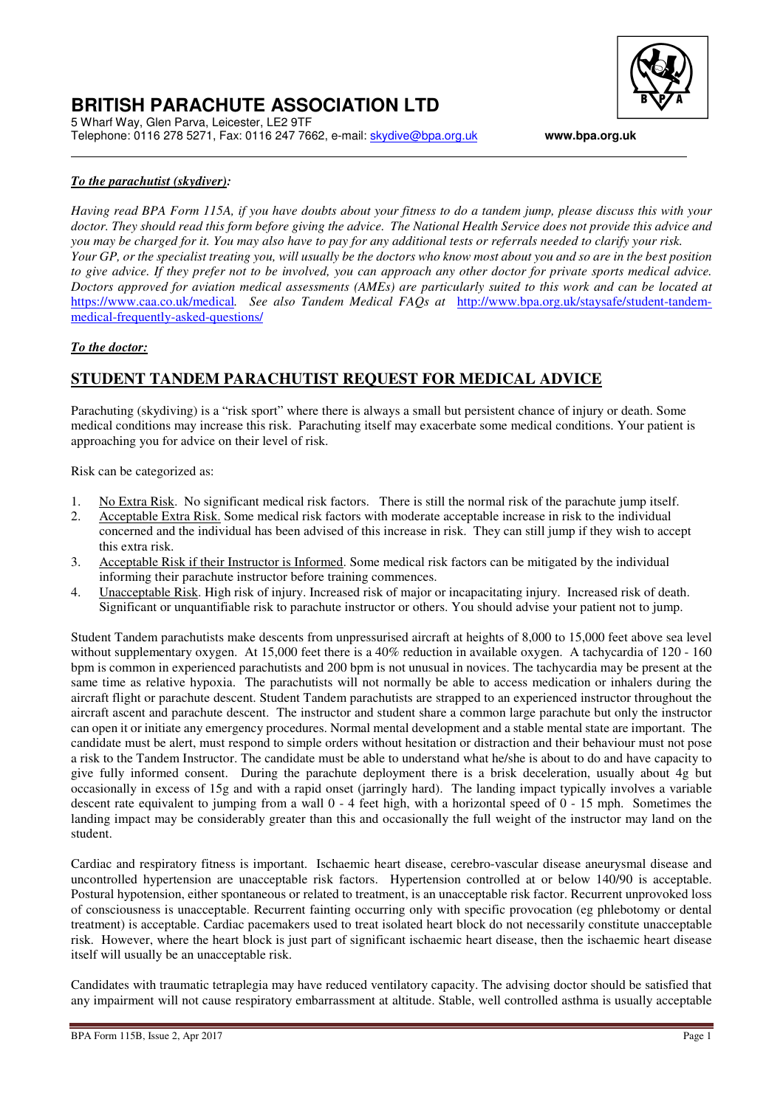

### **BRITISH PARACHUTE ASSOCIATION LTD**  5 Wharf Way, Glen Parva, Leicester, LE2 9TF

Telephone: 0116 278 5271, Fax: 0116 247 7662, e-mail: skydive@bpa.org.uk **www.bpa.org.uk**

### *To the parachutist (skydiver):*

*Having read BPA Form 115A, if you have doubts about your fitness to do a tandem jump, please discuss this with your doctor. They should read this form before giving the advice. The National Health Service does not provide this advice and you may be charged for it. You may also have to pay for any additional tests or referrals needed to clarify your risk. Your GP, or the specialist treating you, will usually be the doctors who know most about you and so are in the best position to give advice. If they prefer not to be involved, you can approach any other doctor for private sports medical advice. Doctors approved for aviation medical assessments (AMEs) are particularly suited to this work and can be located at*  https://www.caa.co.uk/medical*. See also Tandem Medical FAQs at* http://www.bpa.org.uk/staysafe/student-tandemmedical-frequently-asked-questions/

#### *To the doctor:*

### **STUDENT TANDEM PARACHUTIST REQUEST FOR MEDICAL ADVICE**

Parachuting (skydiving) is a "risk sport" where there is always a small but persistent chance of injury or death. Some medical conditions may increase this risk. Parachuting itself may exacerbate some medical conditions. Your patient is approaching you for advice on their level of risk.

Risk can be categorized as:

- 1. No Extra Risk. No significant medical risk factors. There is still the normal risk of the parachute jump itself.
- 2. Acceptable Extra Risk. Some medical risk factors with moderate acceptable increase in risk to the individual concerned and the individual has been advised of this increase in risk. They can still jump if they wish to accept this extra risk.
- 3. Acceptable Risk if their Instructor is Informed. Some medical risk factors can be mitigated by the individual informing their parachute instructor before training commences.
- 4. Unacceptable Risk. High risk of injury. Increased risk of major or incapacitating injury. Increased risk of death. Significant or unquantifiable risk to parachute instructor or others. You should advise your patient not to jump.

Student Tandem parachutists make descents from unpressurised aircraft at heights of 8,000 to 15,000 feet above sea level without supplementary oxygen. At 15,000 feet there is a 40% reduction in available oxygen. A tachycardia of 120 - 160 bpm is common in experienced parachutists and 200 bpm is not unusual in novices. The tachycardia may be present at the same time as relative hypoxia. The parachutists will not normally be able to access medication or inhalers during the aircraft flight or parachute descent. Student Tandem parachutists are strapped to an experienced instructor throughout the aircraft ascent and parachute descent. The instructor and student share a common large parachute but only the instructor can open it or initiate any emergency procedures. Normal mental development and a stable mental state are important. The candidate must be alert, must respond to simple orders without hesitation or distraction and their behaviour must not pose a risk to the Tandem Instructor. The candidate must be able to understand what he/she is about to do and have capacity to give fully informed consent. During the parachute deployment there is a brisk deceleration, usually about 4g but occasionally in excess of 15g and with a rapid onset (jarringly hard). The landing impact typically involves a variable descent rate equivalent to jumping from a wall 0 - 4 feet high, with a horizontal speed of 0 - 15 mph. Sometimes the landing impact may be considerably greater than this and occasionally the full weight of the instructor may land on the student.

Cardiac and respiratory fitness is important. Ischaemic heart disease, cerebro-vascular disease aneurysmal disease and uncontrolled hypertension are unacceptable risk factors. Hypertension controlled at or below 140/90 is acceptable. Postural hypotension, either spontaneous or related to treatment, is an unacceptable risk factor. Recurrent unprovoked loss of consciousness is unacceptable. Recurrent fainting occurring only with specific provocation (eg phlebotomy or dental treatment) is acceptable. Cardiac pacemakers used to treat isolated heart block do not necessarily constitute unacceptable risk. However, where the heart block is just part of significant ischaemic heart disease, then the ischaemic heart disease itself will usually be an unacceptable risk.

Candidates with traumatic tetraplegia may have reduced ventilatory capacity. The advising doctor should be satisfied that any impairment will not cause respiratory embarrassment at altitude. Stable, well controlled asthma is usually acceptable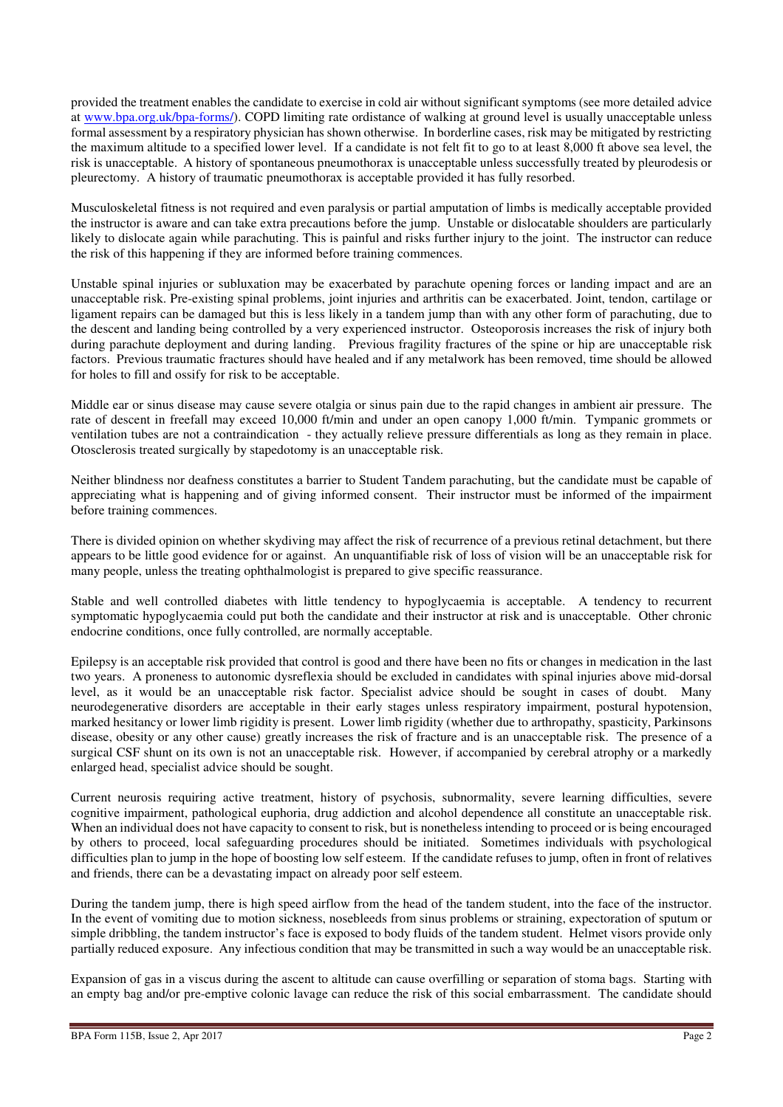provided the treatment enables the candidate to exercise in cold air without significant symptoms (see more detailed advice at www.bpa.org.uk/bpa-forms/). COPD limiting rate ordistance of walking at ground level is usually unacceptable unless formal assessment by a respiratory physician has shown otherwise. In borderline cases, risk may be mitigated by restricting the maximum altitude to a specified lower level. If a candidate is not felt fit to go to at least 8,000 ft above sea level, the risk is unacceptable. A history of spontaneous pneumothorax is unacceptable unless successfully treated by pleurodesis or pleurectomy. A history of traumatic pneumothorax is acceptable provided it has fully resorbed.

Musculoskeletal fitness is not required and even paralysis or partial amputation of limbs is medically acceptable provided the instructor is aware and can take extra precautions before the jump. Unstable or dislocatable shoulders are particularly likely to dislocate again while parachuting. This is painful and risks further injury to the joint. The instructor can reduce the risk of this happening if they are informed before training commences.

Unstable spinal injuries or subluxation may be exacerbated by parachute opening forces or landing impact and are an unacceptable risk. Pre-existing spinal problems, joint injuries and arthritis can be exacerbated. Joint, tendon, cartilage or ligament repairs can be damaged but this is less likely in a tandem jump than with any other form of parachuting, due to the descent and landing being controlled by a very experienced instructor. Osteoporosis increases the risk of injury both during parachute deployment and during landing. Previous fragility fractures of the spine or hip are unacceptable risk factors. Previous traumatic fractures should have healed and if any metalwork has been removed, time should be allowed for holes to fill and ossify for risk to be acceptable.

Middle ear or sinus disease may cause severe otalgia or sinus pain due to the rapid changes in ambient air pressure. The rate of descent in freefall may exceed 10,000 ft/min and under an open canopy 1,000 ft/min. Tympanic grommets or ventilation tubes are not a contraindication - they actually relieve pressure differentials as long as they remain in place. Otosclerosis treated surgically by stapedotomy is an unacceptable risk.

Neither blindness nor deafness constitutes a barrier to Student Tandem parachuting, but the candidate must be capable of appreciating what is happening and of giving informed consent. Their instructor must be informed of the impairment before training commences.

There is divided opinion on whether skydiving may affect the risk of recurrence of a previous retinal detachment, but there appears to be little good evidence for or against. An unquantifiable risk of loss of vision will be an unacceptable risk for many people, unless the treating ophthalmologist is prepared to give specific reassurance.

Stable and well controlled diabetes with little tendency to hypoglycaemia is acceptable. A tendency to recurrent symptomatic hypoglycaemia could put both the candidate and their instructor at risk and is unacceptable. Other chronic endocrine conditions, once fully controlled, are normally acceptable.

Epilepsy is an acceptable risk provided that control is good and there have been no fits or changes in medication in the last two years. A proneness to autonomic dysreflexia should be excluded in candidates with spinal injuries above mid-dorsal level, as it would be an unacceptable risk factor. Specialist advice should be sought in cases of doubt. Many neurodegenerative disorders are acceptable in their early stages unless respiratory impairment, postural hypotension, marked hesitancy or lower limb rigidity is present. Lower limb rigidity (whether due to arthropathy, spasticity, Parkinsons disease, obesity or any other cause) greatly increases the risk of fracture and is an unacceptable risk. The presence of a surgical CSF shunt on its own is not an unacceptable risk. However, if accompanied by cerebral atrophy or a markedly enlarged head, specialist advice should be sought.

Current neurosis requiring active treatment, history of psychosis, subnormality, severe learning difficulties, severe cognitive impairment, pathological euphoria, drug addiction and alcohol dependence all constitute an unacceptable risk. When an individual does not have capacity to consent to risk, but is nonetheless intending to proceed or is being encouraged by others to proceed, local safeguarding procedures should be initiated. Sometimes individuals with psychological difficulties plan to jump in the hope of boosting low self esteem. If the candidate refuses to jump, often in front of relatives and friends, there can be a devastating impact on already poor self esteem.

During the tandem jump, there is high speed airflow from the head of the tandem student, into the face of the instructor. In the event of vomiting due to motion sickness, nosebleeds from sinus problems or straining, expectoration of sputum or simple dribbling, the tandem instructor's face is exposed to body fluids of the tandem student. Helmet visors provide only partially reduced exposure. Any infectious condition that may be transmitted in such a way would be an unacceptable risk.

Expansion of gas in a viscus during the ascent to altitude can cause overfilling or separation of stoma bags. Starting with an empty bag and/or pre-emptive colonic lavage can reduce the risk of this social embarrassment. The candidate should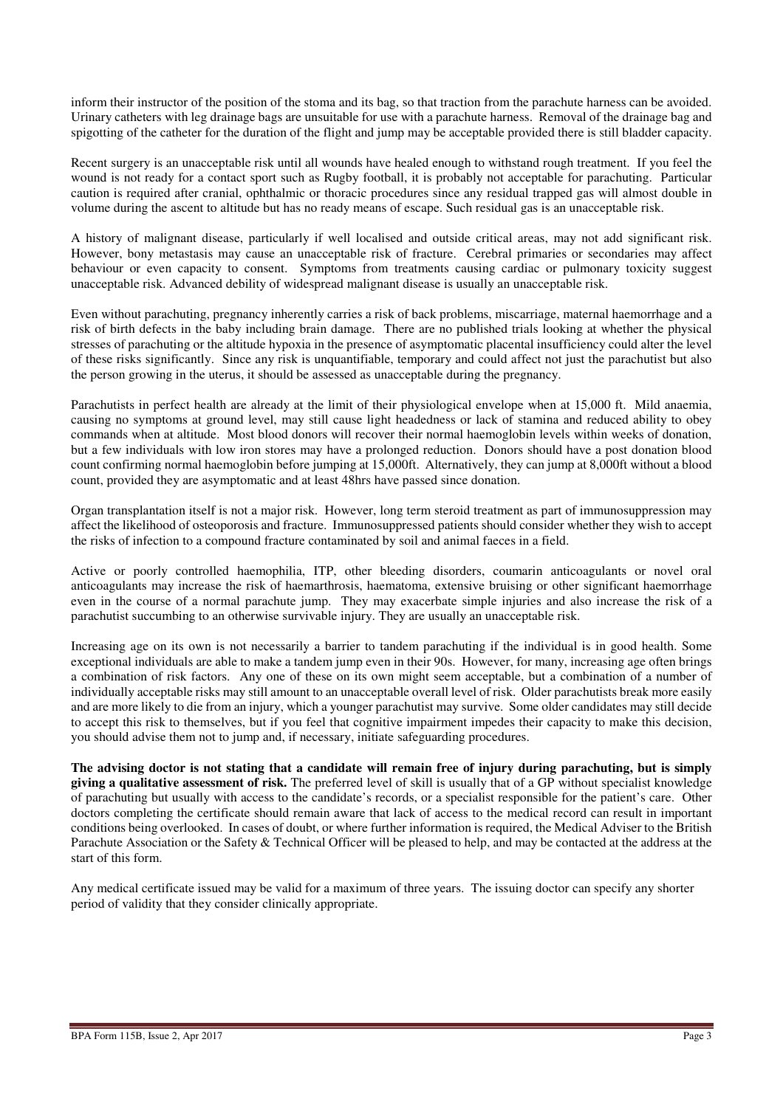inform their instructor of the position of the stoma and its bag, so that traction from the parachute harness can be avoided. Urinary catheters with leg drainage bags are unsuitable for use with a parachute harness. Removal of the drainage bag and spigotting of the catheter for the duration of the flight and jump may be acceptable provided there is still bladder capacity.

Recent surgery is an unacceptable risk until all wounds have healed enough to withstand rough treatment. If you feel the wound is not ready for a contact sport such as Rugby football, it is probably not acceptable for parachuting. Particular caution is required after cranial, ophthalmic or thoracic procedures since any residual trapped gas will almost double in volume during the ascent to altitude but has no ready means of escape. Such residual gas is an unacceptable risk.

A history of malignant disease, particularly if well localised and outside critical areas, may not add significant risk. However, bony metastasis may cause an unacceptable risk of fracture. Cerebral primaries or secondaries may affect behaviour or even capacity to consent. Symptoms from treatments causing cardiac or pulmonary toxicity suggest unacceptable risk. Advanced debility of widespread malignant disease is usually an unacceptable risk.

Even without parachuting, pregnancy inherently carries a risk of back problems, miscarriage, maternal haemorrhage and a risk of birth defects in the baby including brain damage. There are no published trials looking at whether the physical stresses of parachuting or the altitude hypoxia in the presence of asymptomatic placental insufficiency could alter the level of these risks significantly. Since any risk is unquantifiable, temporary and could affect not just the parachutist but also the person growing in the uterus, it should be assessed as unacceptable during the pregnancy.

Parachutists in perfect health are already at the limit of their physiological envelope when at 15,000 ft. Mild anaemia, causing no symptoms at ground level, may still cause light headedness or lack of stamina and reduced ability to obey commands when at altitude. Most blood donors will recover their normal haemoglobin levels within weeks of donation, but a few individuals with low iron stores may have a prolonged reduction. Donors should have a post donation blood count confirming normal haemoglobin before jumping at 15,000ft. Alternatively, they can jump at 8,000ft without a blood count, provided they are asymptomatic and at least 48hrs have passed since donation.

Organ transplantation itself is not a major risk. However, long term steroid treatment as part of immunosuppression may affect the likelihood of osteoporosis and fracture. Immunosuppressed patients should consider whether they wish to accept the risks of infection to a compound fracture contaminated by soil and animal faeces in a field.

Active or poorly controlled haemophilia, ITP, other bleeding disorders, coumarin anticoagulants or novel oral anticoagulants may increase the risk of haemarthrosis, haematoma, extensive bruising or other significant haemorrhage even in the course of a normal parachute jump. They may exacerbate simple injuries and also increase the risk of a parachutist succumbing to an otherwise survivable injury. They are usually an unacceptable risk.

Increasing age on its own is not necessarily a barrier to tandem parachuting if the individual is in good health. Some exceptional individuals are able to make a tandem jump even in their 90s. However, for many, increasing age often brings a combination of risk factors. Any one of these on its own might seem acceptable, but a combination of a number of individually acceptable risks may still amount to an unacceptable overall level of risk. Older parachutists break more easily and are more likely to die from an injury, which a younger parachutist may survive. Some older candidates may still decide to accept this risk to themselves, but if you feel that cognitive impairment impedes their capacity to make this decision, you should advise them not to jump and, if necessary, initiate safeguarding procedures.

**The advising doctor is not stating that a candidate will remain free of injury during parachuting, but is simply giving a qualitative assessment of risk.** The preferred level of skill is usually that of a GP without specialist knowledge of parachuting but usually with access to the candidate's records, or a specialist responsible for the patient's care. Other doctors completing the certificate should remain aware that lack of access to the medical record can result in important conditions being overlooked. In cases of doubt, or where further information is required, the Medical Adviser to the British Parachute Association or the Safety & Technical Officer will be pleased to help, and may be contacted at the address at the start of this form.

Any medical certificate issued may be valid for a maximum of three years. The issuing doctor can specify any shorter period of validity that they consider clinically appropriate.